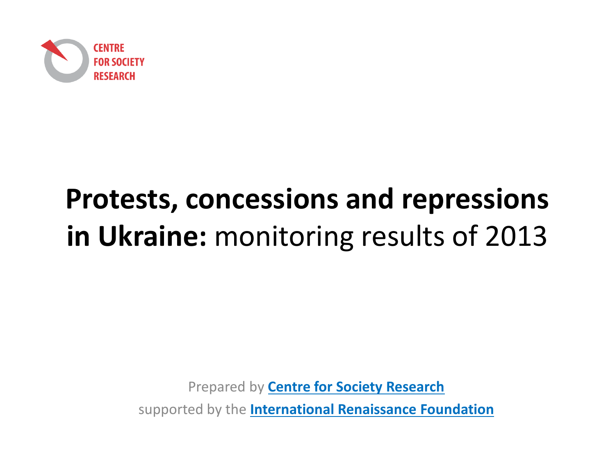

# **Protests, concessions and repressions in Ukraine:** monitoring results of 2013

Prepared by **Centre for Society Research**supported by the **International Renaissance Foundation**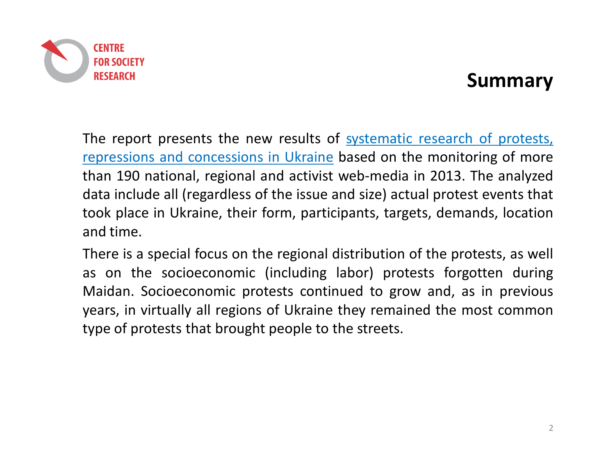

#### **Summary**

The report presents the new results of systematic research of protests, repressions and concessions in Ukraine based on the monitoring of more than <sup>190</sup> national, regional and activist web-media in 2013. The analyzed data include all (regardless of the issue and size) actual protest events that took place in Ukraine, their form, participants, targets, demands, locationand time.

There is <sup>a</sup> special focus on the regional distribution of the protests, as well as on the socioeconomic (including labor) protests forgotten during Maidan. Socioeconomic protests continued to grow and, as in previous years, in virtually all regions of Ukraine they remained the most commontype of protests that brought people to the streets.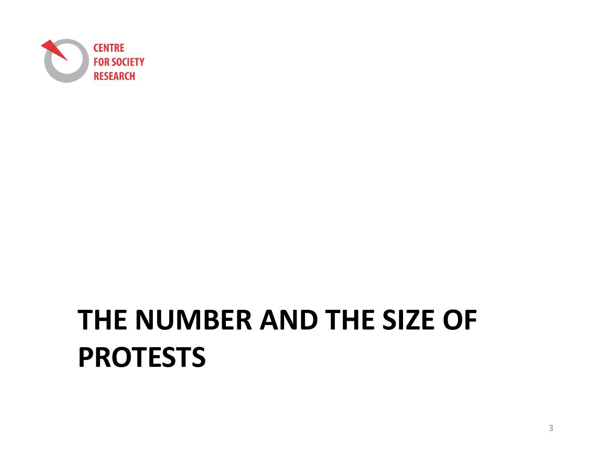

# **THE NUMBER AND THE SIZE OF PROTESTS**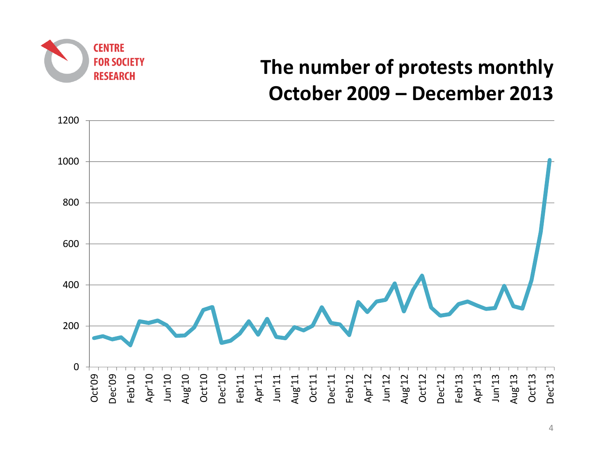

# **The number of protests monthlyOctober 2009 – December <sup>2013</sup>**

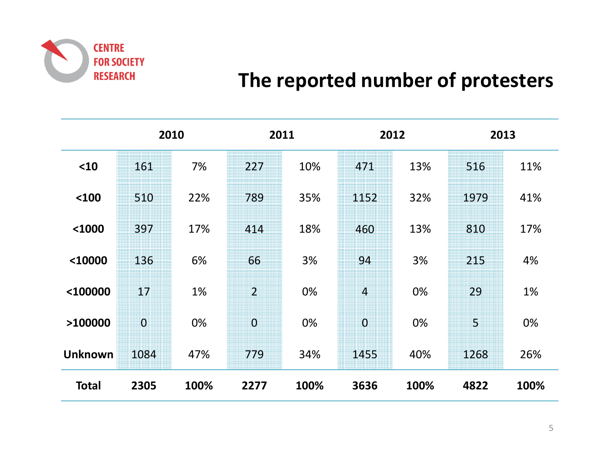

#### **The reported number of protesters**

|                | 2010     |      | 2011           |      |                | 2012 | 2013           |      |  |
|----------------|----------|------|----------------|------|----------------|------|----------------|------|--|
| $10$           | 161      | 7%   | 227            | 10%  | 471            | 13%  | 516            | 11%  |  |
| $100$          | 510      | 22%  | 789            | 35%  | 1152           | 32%  | 1979           | 41%  |  |
| $1000$         | 397      | 17%  | 414            | 18%  | 460            | 13%  | 810            | 17%  |  |
| <10000         | 136      | 6%   | 66             | 3%   | 94             | 3%   | 215            | 4%   |  |
| <100000        | 17       | 1%   | $\overline{2}$ | 0%   | $\mathcal{L}$  | 0%   | 29             | 1%   |  |
| >100000        | $\bf{0}$ | 0%   | $\overline{0}$ | 0%   | $\overline{0}$ | 0%   | $\overline{5}$ | 0%   |  |
| <b>Unknown</b> | 1084     | 47%  | 779            | 34%  | 1455           | 40%  | 1268           | 26%  |  |
| <b>Total</b>   | 2305     | 100% | 2277           | 100% | 3636           | 100% | 4822           | 100% |  |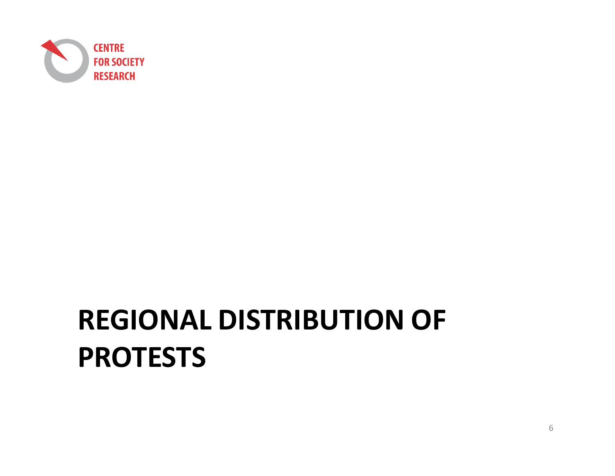

# **REGIONAL DISTRIBUTION OF PROTESTS**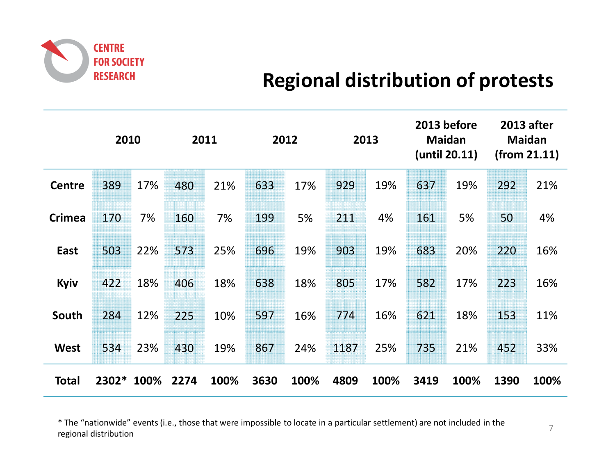

## **Regional distribution of protests**

|               | 2010    |      |      | 2011 |      | 2012 |      | 2013 |      | 2013 before<br><b>Maidan</b><br>(until 20.11) |      | <b>2013 after</b><br><b>Maidan</b><br>(from 21.11) |
|---------------|---------|------|------|------|------|------|------|------|------|-----------------------------------------------|------|----------------------------------------------------|
| <b>Centre</b> | 389     | 17%  | 480  | 21%  | 633  | 17%  | 929  | 19%  | 637  | 19%                                           | 292  | 21%                                                |
| <b>Crimea</b> | 170     | 7%   | 160  | 7%   | 199  | 5%   | 211  | 4%   | 161  | 5%                                            | 50   | 4%                                                 |
| East          | 503     | 22%  | 573  | 25%  | 696  | 19%  | 903  | 19%  | 683  | 20%                                           | 220  | 16%                                                |
| Kyiv          | 422     | 18%  | 406  | 18%  | 638  | 18%  | 805  | 17%  | 582  | 17%                                           | 223  | 16%                                                |
| South         | 284     | 12%  | 225  | 10%  | 597  | 16%  | 774  | 16%  | 621  | 18%                                           | 153  | 11%                                                |
| <b>West</b>   | 534     | 23%  | 430  | 19%  | 867  | 24%  | 1187 | 25%  | 735  | 21%                                           | 452  | 33%                                                |
| <b>Total</b>  | $2302*$ | 100% | 2274 | 100% | 3630 | 100% | 4809 | 100% | 3419 | 100%                                          | 1390 | 100%                                               |

\* The "nationwide" events (i.e., those that were impossible to locate in a particular settlement) are not included in the regional distribution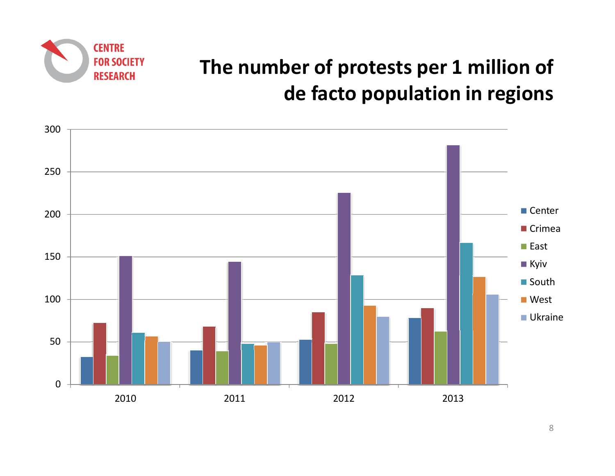

# **The number of protests per 1 million of de facto population in regions**

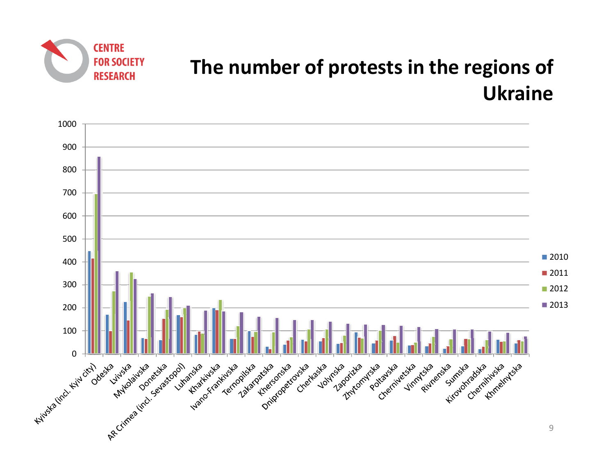

# **The number of protests in the regions of Ukraine**

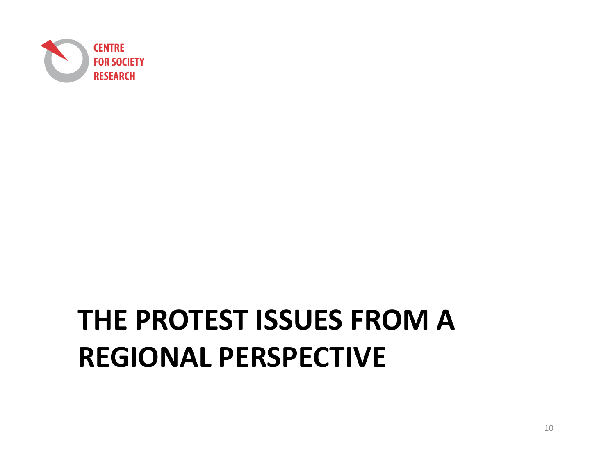

# **THE PROTEST ISSUES FROM A REGIONAL PERSPECTIVE**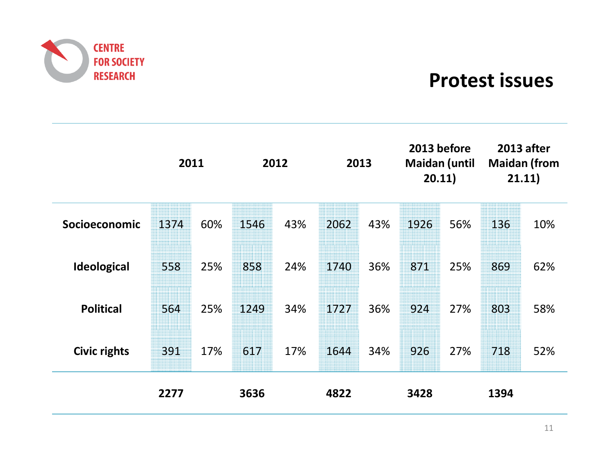

#### **Protest issues**

|                     | 2011 |     | 2012 |     |      | 2013 | 2013 before<br><b>Maidan (until</b><br>20.11) |     | <b>2013 after</b><br><b>Maidan (from</b><br>21.11) |     |
|---------------------|------|-----|------|-----|------|------|-----------------------------------------------|-----|----------------------------------------------------|-----|
| Socioeconomic       | 1374 | 60% | 1546 | 43% | 2062 | 43%  | 1926                                          | 56% | 136                                                | 10% |
| <b>Ideological</b>  | 558  | 25% | 858  | 24% | 1740 | 36%  | 871                                           | 25% | 869                                                | 62% |
| <b>Political</b>    | 564  | 25% | 1249 | 34% | 1727 | 36%  | 924                                           | 27% | 803                                                | 58% |
| <b>Civic rights</b> | 391  | 17% | 617  | 17% | 1644 | 34%  | 926                                           | 27% | 718                                                | 52% |
|                     | 2277 |     | 3636 |     | 4822 |      | 3428                                          |     | 1394                                               |     |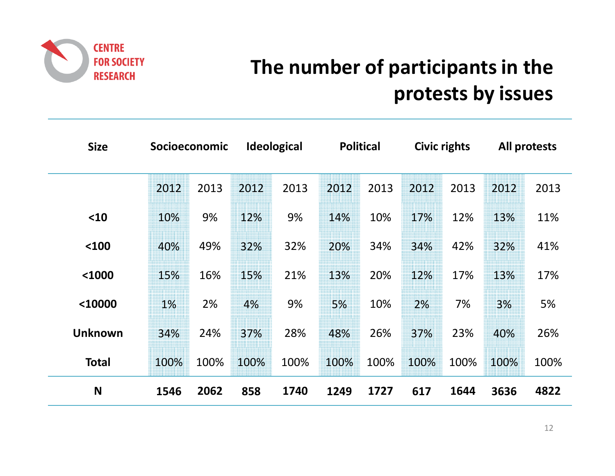

# **The number of participants in the protests by issues**

| <b>Size</b>    |      | Socioeconomic |      | <b>Ideological</b> |      | <b>Political</b> |      | Civic rights |      | All protests |
|----------------|------|---------------|------|--------------------|------|------------------|------|--------------|------|--------------|
|                | 2012 | 2013          | 2012 | 2013               | 2012 | 2013             | 2012 | 2013         | 2012 | 2013         |
| $10$           | 10%  | 9%            | 12%  | 9%                 | 14%  | 10%              | 17%  | 12%          | 13%  | 11%          |
| $100$          | 40%  | 49%           | 32%  | 32%                | 20%  | 34%              | 34%  | 42%          | 32%  | 41%          |
| $1000$         | 15%  | 16%           | 15%  | 21%                | 13%  | 20%              | 12%  | 17%          | 13%  | 17%          |
| <10000         | 1%   | 2%            | 4%   | 9%                 | 5%   | 10%              | 2%   | 7%           | 3%   | 5%           |
| <b>Unknown</b> | 34%  | 24%           | 37%  | 28%                | 48%  | 26%              | 37%  | 23%          | 40%  | 26%          |
| <b>Total</b>   | 100% | 100%          | 100% | 100%               | 100% | 100%             | 100% | 100%         | 100% | 100%         |
| N              | 1546 | 2062          | 858  | 1740               | 1249 | 1727             | 617  | 1644         | 3636 | 4822         |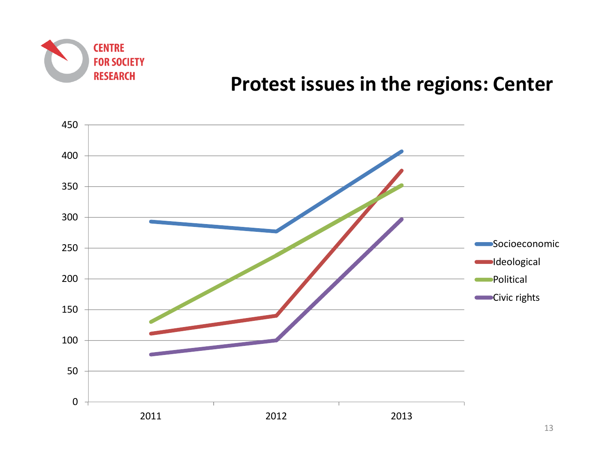

#### **Protest issues in the regions: Center**

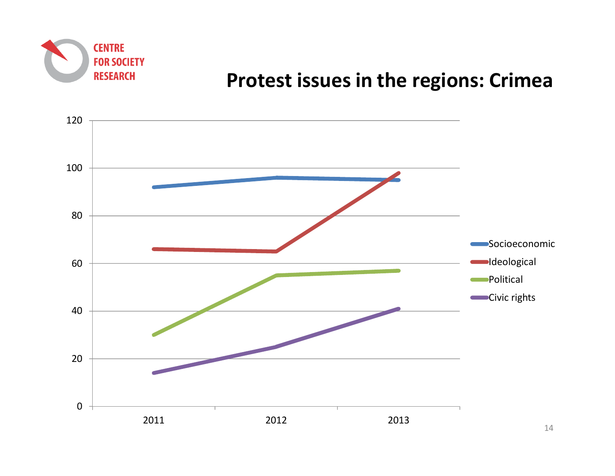

#### **Protest issues in the regions: Crimea**

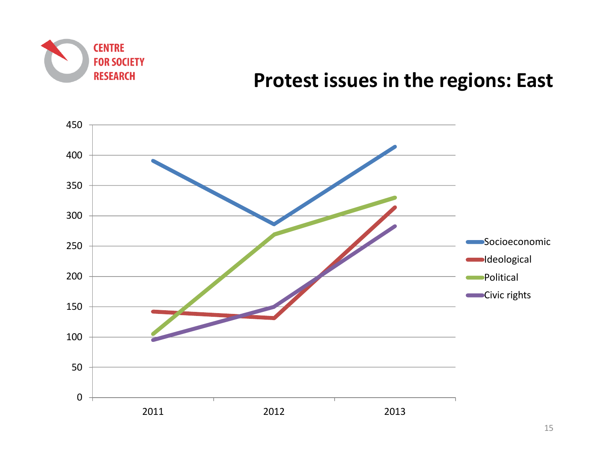

#### **Protest issues in the regions: East**

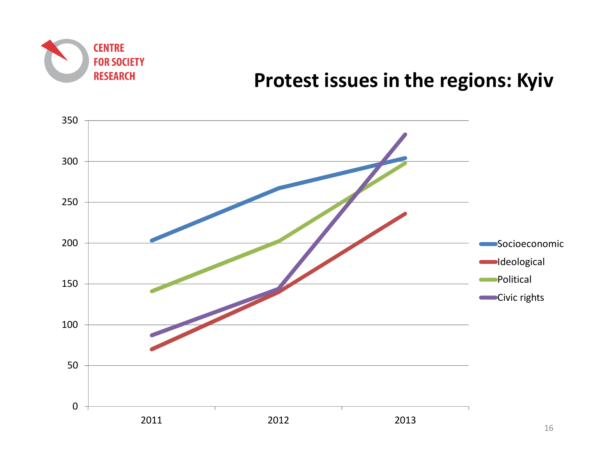

## **Protest issues in the regions: Kyiv**

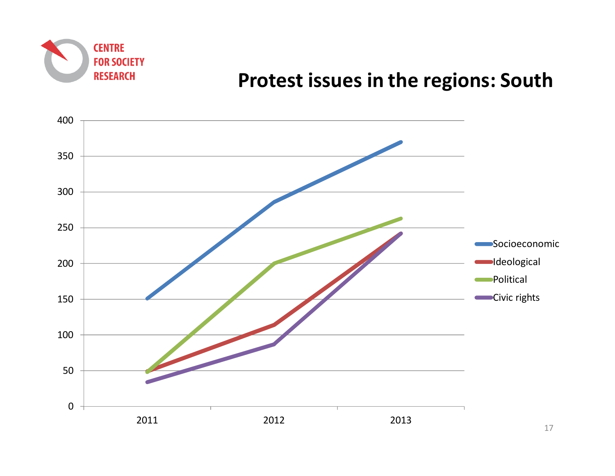

#### **Protest issues in the regions: South**

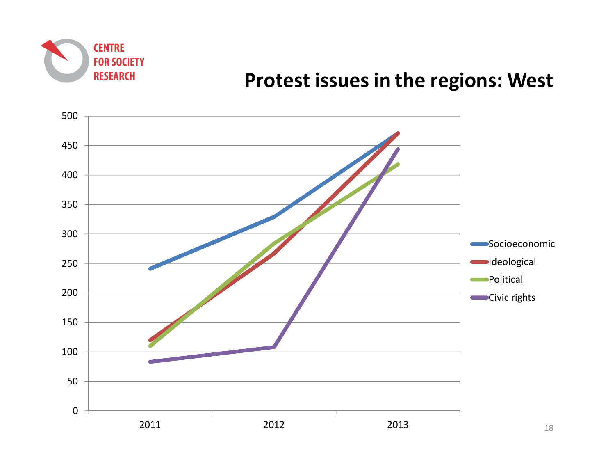

#### **Protest issues in the regions: West**

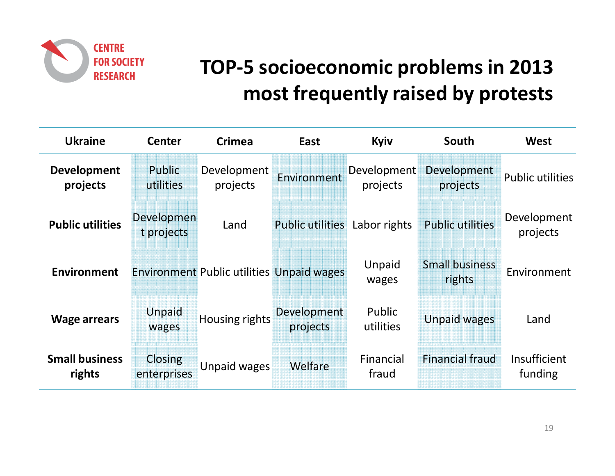

# **TOP-5 socioeconomic problems in 2013 most frequently raised by protests**

| <b>Ukraine</b>                  | <b>Center</b>            | <b>Crimea</b>                                    | East                    | Kyiv                           | South                           | <b>West</b>             |
|---------------------------------|--------------------------|--------------------------------------------------|-------------------------|--------------------------------|---------------------------------|-------------------------|
| <b>Development</b><br>projects  | Public<br>utilities      | Development<br>projects                          | Environment             | <b>Development</b><br>projects | Development<br>projects         | <b>Public utilities</b> |
| <b>Public utilities</b>         | Developmen<br>t projects | Land                                             | <b>Public utilities</b> | Labor rights                   | <b>Public utilities</b>         | Development<br>projects |
| <b>Environment</b>              |                          | <b>Environment Public utilities Unpaid wages</b> |                         | Unpaid<br>wages                | <b>Small business</b><br>rights | Environment             |
| <b>Wage arrears</b>             | Unpaid<br>wages          | <b>Housing rights</b>                            | Development<br>projects | Public<br>utilities            | <b>Unpaid wages</b>             | Land                    |
| <b>Small business</b><br>rights | Closing<br>enterprises   | Unpaid wages                                     | Welfare                 | Financial<br>fraud             | <b>Financial fraud</b>          | Insufficient<br>funding |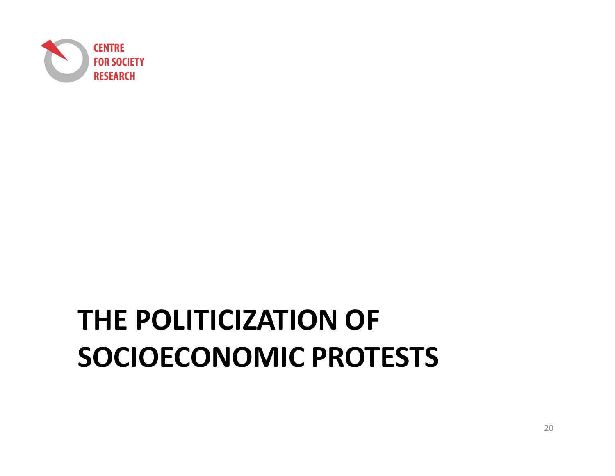

# **THE POLITICIZATION OF SOCIOECONOMIC PROTESTS**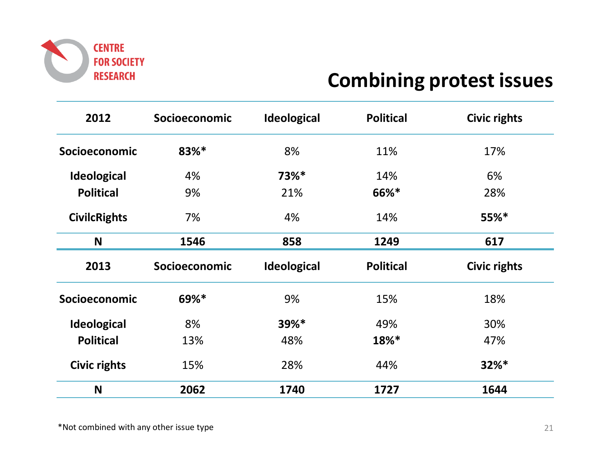

### **Combining protest issues**

| 2012                | Socioeconomic | <b>Ideological</b> | <b>Political</b> | <b>Civic rights</b> |
|---------------------|---------------|--------------------|------------------|---------------------|
| Socioeconomic       | 83%*          | 8%                 | 11%              | 17%                 |
| <b>Ideological</b>  | 4%            | 73%*               | 14%              | 6%                  |
| <b>Political</b>    | 9%            | 21%                | 66%*             | 28%                 |
| <b>CivilcRights</b> | 7%            | 4%                 | 14%              | $55%$ *             |
| N                   | 1546          | 858                | 1249             | 617                 |
| 2013                | Socioeconomic | Ideological        | <b>Political</b> | <b>Civic rights</b> |
| Socioeconomic       | 69%*          | 9%                 | 15%              | 18%                 |
| <b>Ideological</b>  | 8%            | 39%*               | 49%              | 30%                 |
| <b>Political</b>    | 13%           | 48%                | 18%*             | 47%                 |
| <b>Civic rights</b> | 15%           | 28%                | 44%              | $32%$ *             |
| N                   | 2062          | 1740               | 1727             | 1644                |

\*Not combined with any other issue type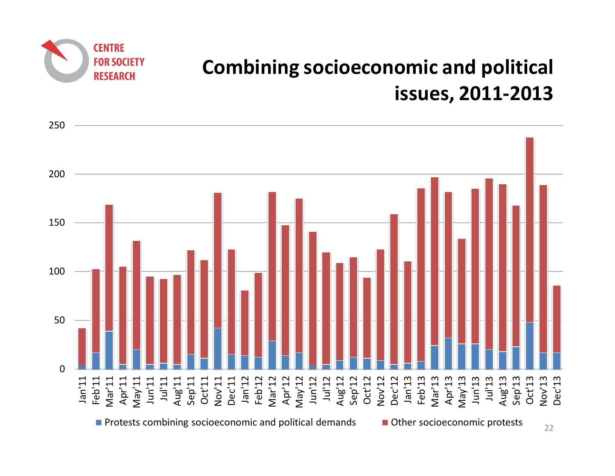



**CENTRE** 

**FOR SOCIETY RESEARCH** 

22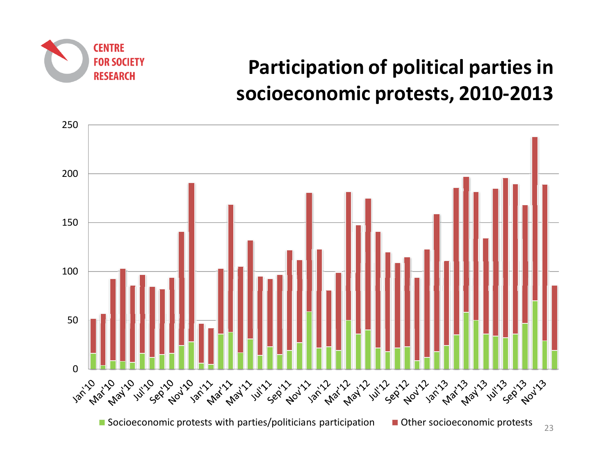

# **Participation of political parties in socioeconomic protests, 2010-2013**

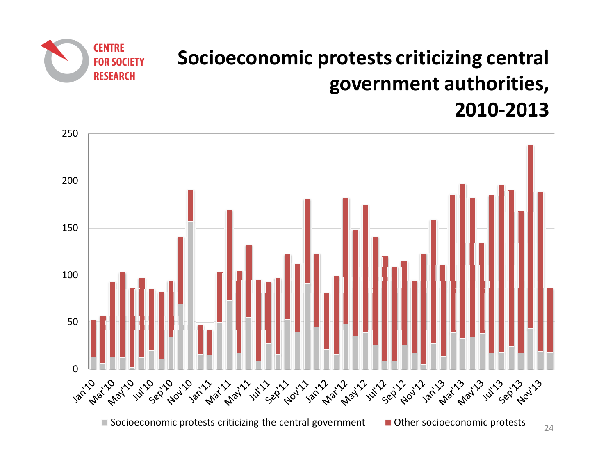# **Socioeconomic protests criticizing central government authorities, 2010-2013**



**CENTRE** 

**FOR SOCIETY RESEARCH**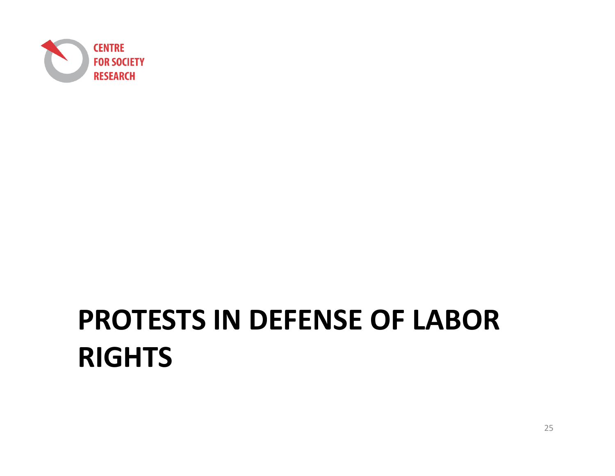

# **PROTESTS IN DEFENSE OF LABOR RIGHTS**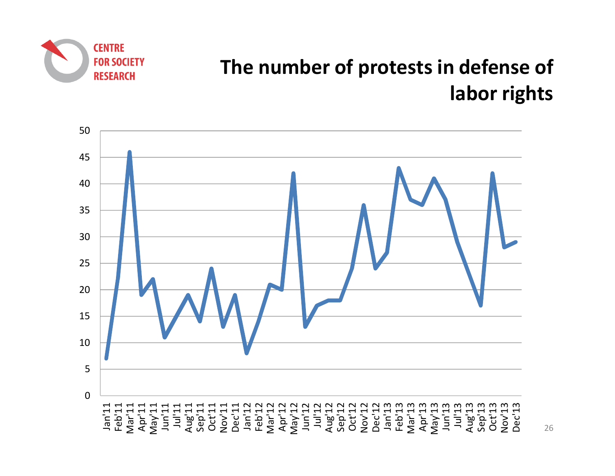

# **The number of protests in defense of labor rights**

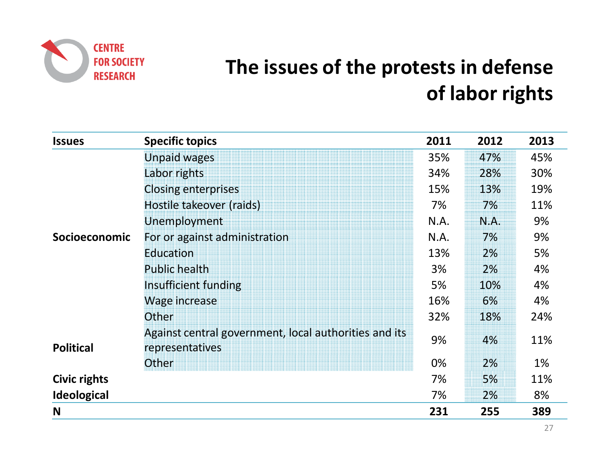

# **The issues of the protests in defense of labor rights**

| <b>Issues</b>       | <b>Specific topics</b>                                                   | 2011 | 2012 | 2013 |
|---------------------|--------------------------------------------------------------------------|------|------|------|
|                     | <b>Unpaid wages</b>                                                      | 35%  | 47%  | 45%  |
|                     | Labor rights                                                             | 34%  | 28%  | 30%  |
|                     | <b>Closing enterprises</b>                                               | 15%  | 13%  | 19%  |
|                     | Hostile takeover (raids)                                                 | 7%   | 7%   | 11%  |
|                     | Unemployment                                                             | N.A. | N.A. | 9%   |
| Socioeconomic       | For or against administration                                            | N.A. | 7%   | 9%   |
|                     | Education                                                                | 13%  | 2%   | 5%   |
|                     | <b>Public health</b>                                                     | 3%   | 2%   | 4%   |
|                     | Insufficient funding                                                     | 5%   | 10%  | 4%   |
|                     | Wage increase                                                            | 16%  | 6%   | 4%   |
|                     | Other                                                                    | 32%  | 18%  | 24%  |
| <b>Political</b>    | Against central government, local authorities and its<br>representatives | 9%   | 4%   | 11%  |
|                     | Other                                                                    | 0%   | 2%   | 1%   |
| <b>Civic rights</b> |                                                                          | 7%   | 5%   | 11%  |
| <b>Ideological</b>  |                                                                          | 7%   | 2%   | 8%   |
| N                   |                                                                          | 231  | 255  | 389  |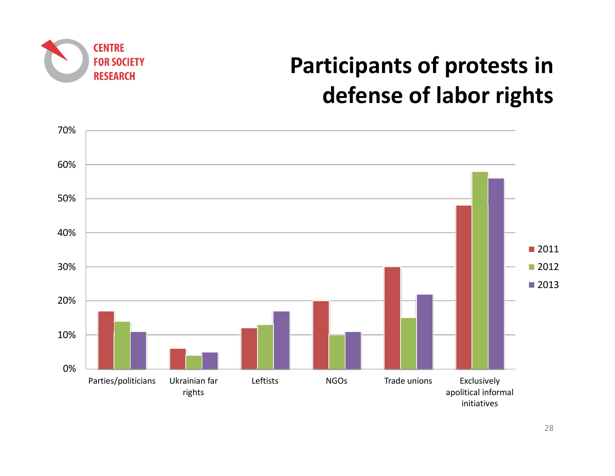

# **Participants of protests in defense of labor rights**

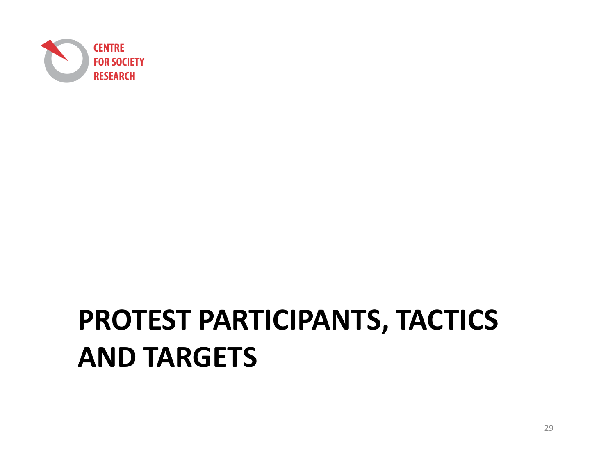

# **PROTEST PARTICIPANTS, TACTICS AND TARGETS**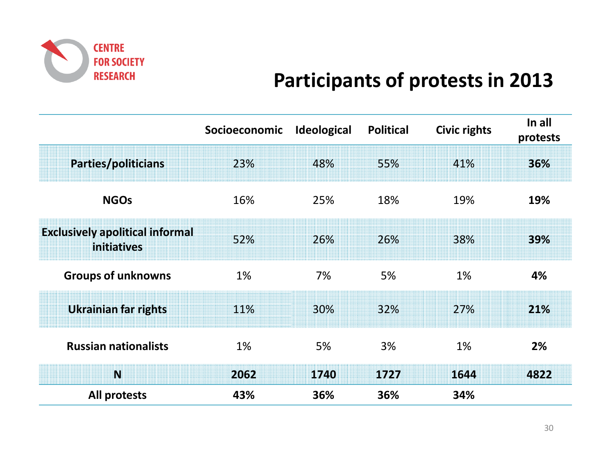

## **Participants of protests in 2013**

|                                                       | Socioeconomic | <b>Ideological</b> | <b>Political</b> | Civic rights | In all<br>protests |
|-------------------------------------------------------|---------------|--------------------|------------------|--------------|--------------------|
| Parties/politicians                                   | 23%           | 48%                | 55%              | 41%          | 36%                |
| <b>NGOs</b>                                           | 16%           | 25%                | 18%              | 19%          | 19%                |
| <b>Exclusively apolitical informal</b><br>initiatives | 52%           | 26%                | 26%              | 38%          | 39%                |
| <b>Groups of unknowns</b>                             | 1%            | 7%                 | 5%               | 1%           | 4%                 |
| <b>Ukrainian far rights</b>                           | 11%           | 30%                | 32%              | 27%          | 21%                |
| <b>Russian nationalists</b>                           | 1%            | 5%                 | 3%               | 1%           | 2%                 |
| N                                                     | 2062          | 1740               | 1727             | 1644         | 4822               |
| All protests                                          | 43%           | 36%                | 36%              | 34%          |                    |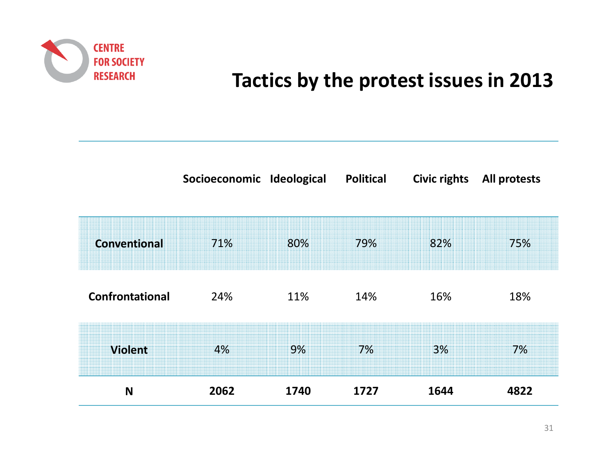

## **Tactics by the protest issues in 2013**

|                        | Socioeconomic Ideological |      | <b>Political</b> | <b>Civic rights</b> | <b>All protests</b> |
|------------------------|---------------------------|------|------------------|---------------------|---------------------|
|                        |                           |      |                  |                     |                     |
| Conventional           | 71%                       | 80%  | 79%              | 82%                 | 75%                 |
|                        |                           |      |                  |                     |                     |
| <b>Confrontational</b> | 24%                       | 11%  | 14%              | 16%                 | 18%                 |
| <b>Violent</b>         | 4%                        | 9%   | 7%               | 3%                  | 7%                  |
|                        |                           |      |                  |                     |                     |
| N                      | 2062                      | 1740 | 1727             | 1644                | 4822                |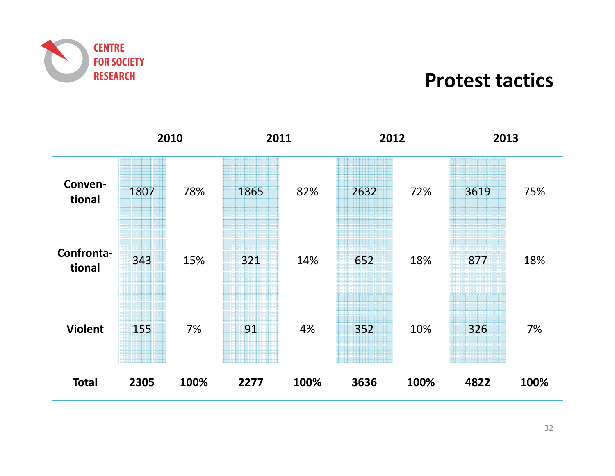

**Protest tactics**

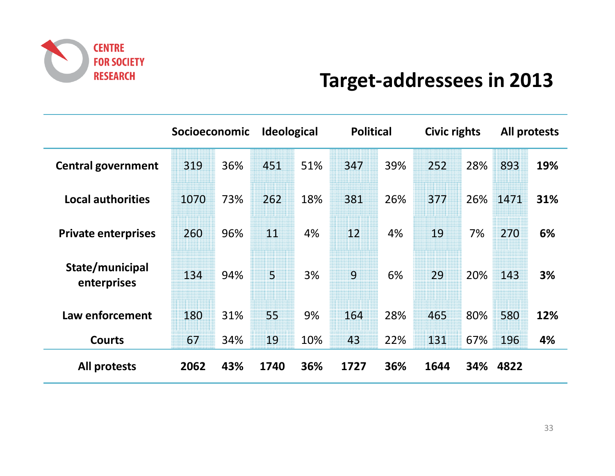

## **Target-addressees in <sup>2013</sup>**

|                                | Socioeconomic |     | <b>Ideological</b> |     | <b>Political</b> |     | Civic rights |     |      | All protests |
|--------------------------------|---------------|-----|--------------------|-----|------------------|-----|--------------|-----|------|--------------|
| <b>Central government</b>      | 319           | 36% | 451                | 51% | 347              | 39% | 252          | 28% | 893  | 19%          |
| <b>Local authorities</b>       | 1070          | 73% | 262                | 18% | 381              | 26% | 377          | 26% | 1471 | 31%          |
| <b>Private enterprises</b>     | 260           | 96% | 11                 | 4%  | 12               | 4%  | 19           | 7%  | 270  | 6%           |
| State/municipal<br>enterprises | 134           | 94% | $\overline{5}$     | 3%  | 9                | 6%  | 29           | 20% | 143  | 3%           |
| Law enforcement                | 180           | 31% | 55                 | 9%  | 164              | 28% | 465          | 80% | 580  | 12%          |
| <b>Courts</b>                  | 67            | 34% | 19                 | 10% | 43               | 22% | 131          | 67% | 196  | 4%           |
| All protests                   | 2062          | 43% | 1740               | 36% | 1727             | 36% | 1644         | 34% | 4822 |              |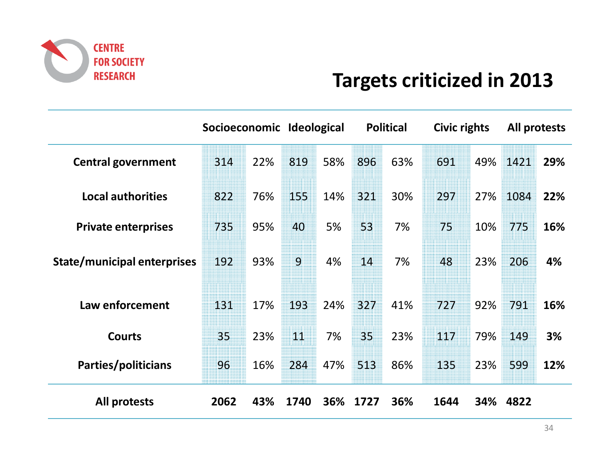

## **Targets criticized in 2013**

|                                    | Socioeconomic Ideological |     |                |     |      | <b>Political</b> | Civic rights |     |      | All protests |
|------------------------------------|---------------------------|-----|----------------|-----|------|------------------|--------------|-----|------|--------------|
| <b>Central government</b>          | 314                       | 22% | 819            | 58% | 896  | 63%              | 691          | 49% | 1421 | 29%          |
| <b>Local authorities</b>           | 822                       | 76% | 155            | 14% | 321  | 30%              | 297          | 27% | 1084 | 22%          |
| <b>Private enterprises</b>         | 735                       | 95% | 40             | 5%  | 53   | 7%               | 75           | 10% | 775  | 16%          |
| <b>State/municipal enterprises</b> | 192                       | 93% | $\overline{9}$ | 4%  | 14   | 7%               | 48           | 23% | 206  | 4%           |
| Law enforcement                    | 131                       | 17% | 193            | 24% | 327  | 41%              | 727          | 92% | 791  | 16%          |
| <b>Courts</b>                      | 35                        | 23% | 11             | 7%  | 35   | 23%              | 117          | 79% | 149  | 3%           |
| Parties/politicians                | 96                        | 16% | 284            | 47% | 513  | 86%              | 135          | 23% | 599  | 12%          |
| <b>All protests</b>                | 2062                      | 43% | 1740           | 36% | 1727 | 36%              | 1644         | 34% | 4822 |              |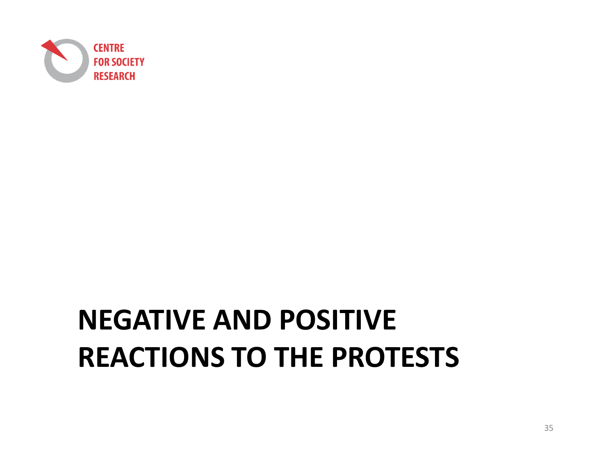

# **NEGATIVE AND POSITIVE REACTIONS TO THE PROTESTS**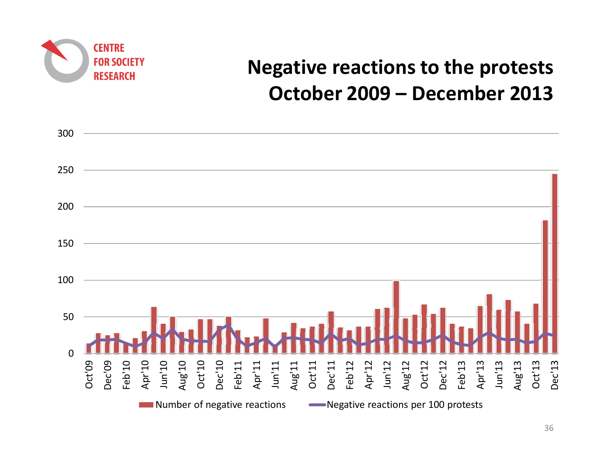

## **Negative reactions to the protestsOctober 2009 – December 2013**

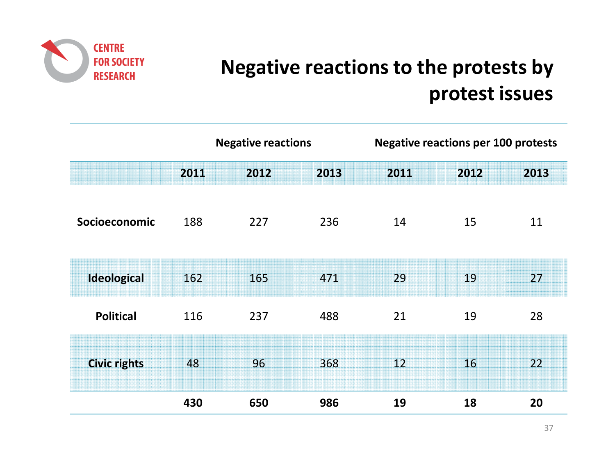

# **Negative reactions to the protests by protest issues**

|                     |      | <b>Negative reactions</b> |      |      | <b>Negative reactions per 100 protests</b> |      |  |  |
|---------------------|------|---------------------------|------|------|--------------------------------------------|------|--|--|
|                     | 2011 | 2012                      | 2013 | 2011 | 2012                                       | 2013 |  |  |
| Socioeconomic       | 188  | 227                       | 236  | 14   | 15                                         | 11   |  |  |
| Ideological         | 162  | 165                       | 471  | 29   | 19                                         | 27   |  |  |
| <b>Political</b>    | 116  | 237                       | 488  | 21   | 19                                         | 28   |  |  |
| <b>Civic rights</b> | 48   | 96                        | 368  | 12   | 16                                         | 22   |  |  |
|                     | 430  | 650                       | 986  | 19   | 18                                         | 20   |  |  |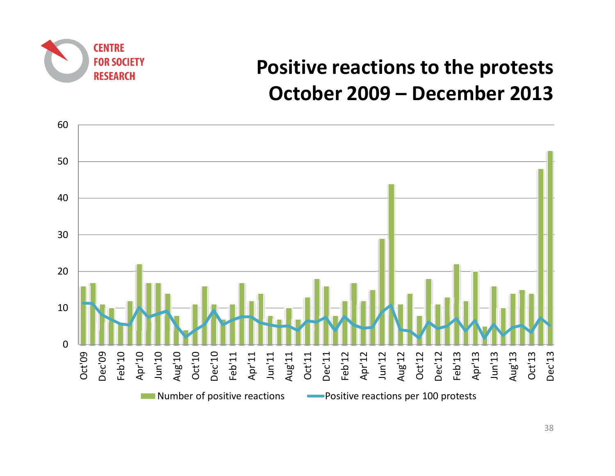

## **Positive reactions to the protestsOctober 2009 – December 2013**

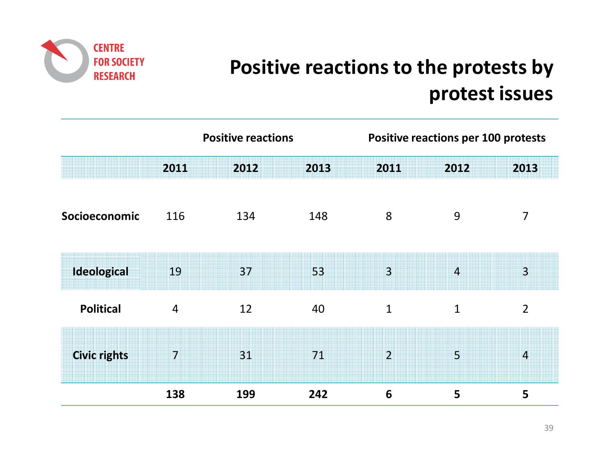

# **Positive reactions to the protests by protest issues**

|                     | <b>Positive reactions</b> |      |      | <b>Positive reactions per 100 protests</b> |                |                        |
|---------------------|---------------------------|------|------|--------------------------------------------|----------------|------------------------|
|                     | 2011                      | 2012 | 2013 | 2011                                       | 2012           | 2013                   |
| Socioeconomic       | 116                       | 134  | 148  | 8                                          | 9              | 7                      |
| <b>Ideological</b>  | 19                        | 37   | 53   | $\overline{3}$                             | $\overline{4}$ | $\overline{3}$         |
| <b>Political</b>    | $\overline{4}$            | 12   | 40   | $\mathbf{1}$                               | $\mathbf{1}$   | $\overline{2}$         |
| <b>Civic rights</b> | 7                         | 31   | 71   | $\overline{2}$                             | $\overline{5}$ | $\boldsymbol{\Lambda}$ |
|                     | 138                       | 199  | 242  | 6                                          | 5              | 5                      |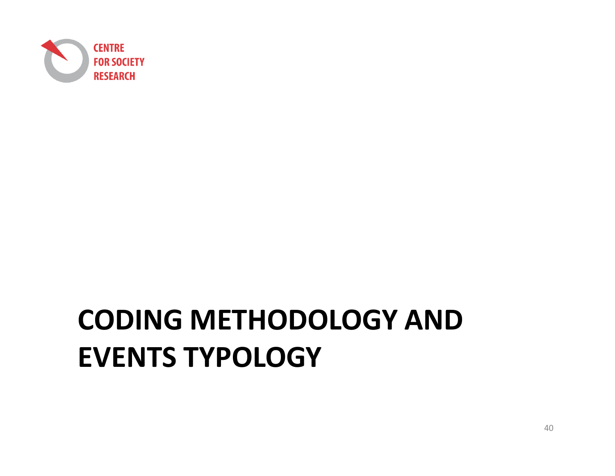

# **CODING METHODOLOGY AND EVENTS TYPOLOGY**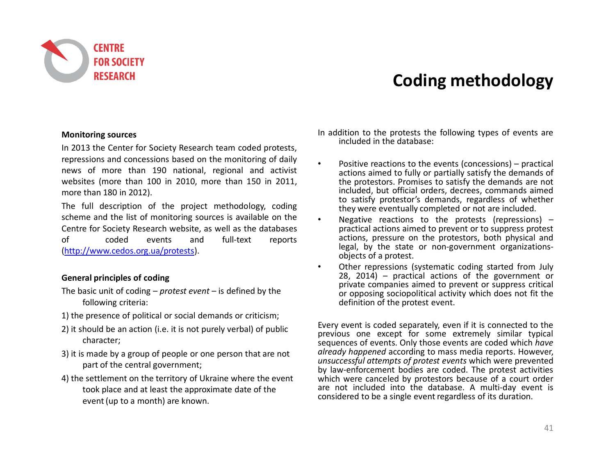

#### **Coding methodology**

#### **Monitoring sources**

In <sup>2013</sup> the Center for Society Research team coded protests, repressions and concessions based on the monitoring of dail y news of more than <sup>190</sup> national, regional and activist websites (more than <sup>100</sup> in 2010, more than <sup>150</sup> in 2011, more than <sup>180</sup> in 2012).

The full description of the project methodology, coding scheme and the list of monitoring sources is available on the Centre for Society Research website, as well as the databases<br>of  $\qquad$  coded events and full-text reports of coded events and full-text reports (http://www.cedos.org.ua/protests).

#### **General principles of coding**

- The basic unit of coding *protest event* is defined by the following criteria:
- 1) the presence of political or social demands or criticism;
- 2) it should be an action (i.e. it is not purely verbal) of public character;
- 3) it is made by a group of people or one person that are not part of the central government;
- 4) the settlement on the territory of Ukraine where the event took place and at least the approximate date of theevent (up to a month) are known.

In addition to the protests the following types of events are included in the database:

- • Positive reactions to the events (concessions) – practical actions aimed to fully or partially satisfy the demands of the protestors. Promises to satisfy the demands are not included, but official orders, decrees, commands aimed to satisfy protestor's demands, regardless of whether they were eventually completed or not are included.
- • Negative reactions to the protests (repressions) – practical actions aimed to prevent or to suppress protest actions, pressure on the protestors, both physical and legal, by the state or non-government organizationsobjects of <sup>a</sup> protest.
- • Other repressions (systematic coding started from July 28, 2014) – practical actions of the government or private companies aimed to prevent or suppress critical or opposing sociopolitical activity which does not fit the definition of the protest event.

Every event is coded separately, even if it is connected to the previous one except for some extremely similar typical sequences of events. Only those events are coded which *have already happened* according to mass media reports. However, *unsuccessful attempts of protest events* which were prevented by law-enforcement bodies are coded. The protest activities which were canceled by protestors because of <sup>a</sup> court order are not included into the database. <sup>A</sup> multi-day event is considered to be <sup>a</sup> single event regardless of its duration.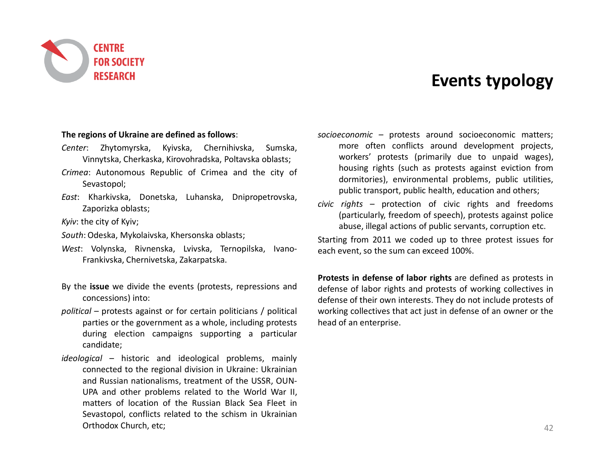

#### **Events typology**

#### **The regions of Ukraine are defined as follows**:

- *Center*: Zhytomyrska, Kyivska, Chernihivska, Sumska, Vinnytska, Cherkaska, Kirovohradska, Poltavska oblasts;
- *Crimea*: Autonomous Republic of Crimea and the city of Sevastopol;
- *East*: Kharkivska, Donetska, Luhanska, Dnipropetrovska, Zaporizka oblasts;

*Kyiv*: the city of Kyiv;

- *South*: Odeska, Mykolaivska, Khersonska oblasts;
- *West*: Volynska, Rivnenska, Lvivska, Ternopilska, Ivano-Frankivska, Chernivetska, Zakarpatska.
- By the **issue** we divide the events (protests, repressions andconcessions) into:
- *political* protests against or for certain politicians / political parties or the government as <sup>a</sup> whole, including protests during election campaigns supporting <sup>a</sup> particular candidate;
- *ideological* historic and ideological problems, mainly connected to the regional division in Ukraine: Ukrainian and Russian nationalisms, treatment of the USSR, OUN-UPA and other problems related to the World War II, matters of location of the Russian Black Sea Fleet in Sevastopol, conflicts related to the schism in UkrainianOrthodox Church, etc;
- *socioeconomic –* protests around socioeconomic matters; more often conflicts around development projects, workers' protests (primarily due to unpaid wages), housing rights (such as protests against eviction from dormitories), environmental problems, public utilities, public transport, public health, education and others;
- *civic rights* protection of civic rights and freedoms (particularly, freedom of speech), protests against police abuse, illegal actions of public servants, corruption etc.

Starting from <sup>2011</sup> we coded up to three protest issues for each event, so the sum can exceed 100%.

**Protests in defense of labor rights** are defined as protests in defense of labor rights and protests of working collectives in defense of their own interests. They do not include protests of working collectives that act just in defense of an owner or the head of an enterprise.